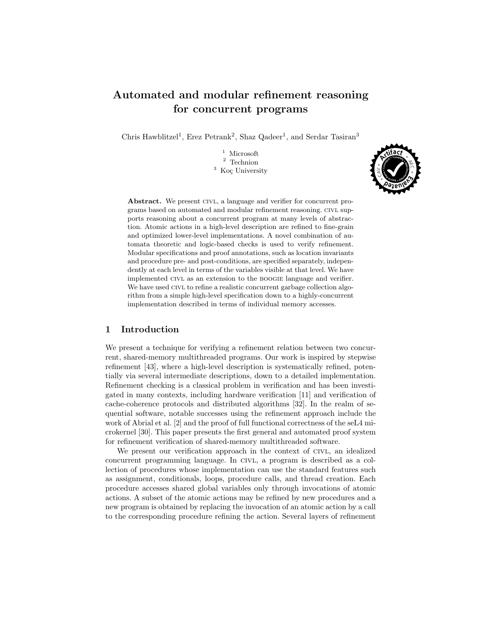# Automated and modular refinement reasoning for concurrent programs

Chris Hawblitzel<sup>1</sup>, Erez Petrank<sup>2</sup>, Shaz Qadeer<sup>1</sup>, and Serdar Tasiran<sup>3</sup>

<sup>1</sup> Microsoft <sup>2</sup> Technion  $3$  Koc University



Abstract. We present CIVL, a language and verifier for concurrent programs based on automated and modular refinement reasoning. CIVL supports reasoning about a concurrent program at many levels of abstraction. Atomic actions in a high-level description are refined to fine-grain and optimized lower-level implementations. A novel combination of automata theoretic and logic-based checks is used to verify refinement. Modular specifications and proof annotations, such as location invariants and procedure pre- and post-conditions, are specified separately, independently at each level in terms of the variables visible at that level. We have implemented civl as an extension to the boogie language and verifier. We have used CIVL to refine a realistic concurrent garbage collection algorithm from a simple high-level specification down to a highly-concurrent implementation described in terms of individual memory accesses.

## 1 Introduction

We present a technique for verifying a refinement relation between two concurrent, shared-memory multithreaded programs. Our work is inspired by stepwise refinement [43], where a high-level description is systematically refined, potentially via several intermediate descriptions, down to a detailed implementation. Refinement checking is a classical problem in verification and has been investigated in many contexts, including hardware verification [11] and verification of cache-coherence protocols and distributed algorithms [32]. In the realm of sequential software, notable successes using the refinement approach include the work of Abrial et al. [2] and the proof of full functional correctness of the seL4 microkernel [30]. This paper presents the first general and automated proof system for refinement verification of shared-memory multithreaded software.

We present our verification approach in the context of CIVL, an idealized concurrent programming language. In civl, a program is described as a collection of procedures whose implementation can use the standard features such as assignment, conditionals, loops, procedure calls, and thread creation. Each procedure accesses shared global variables only through invocations of atomic actions. A subset of the atomic actions may be refined by new procedures and a new program is obtained by replacing the invocation of an atomic action by a call to the corresponding procedure refining the action. Several layers of refinement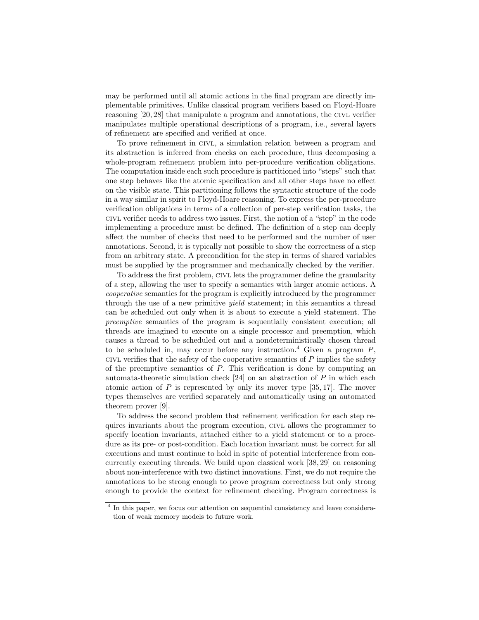may be performed until all atomic actions in the final program are directly implementable primitives. Unlike classical program verifiers based on Floyd-Hoare reasoning [20, 28] that manipulate a program and annotations, the CIVL verifier manipulates multiple operational descriptions of a program, i.e., several layers of refinement are specified and verified at once.

To prove refinement in civl, a simulation relation between a program and its abstraction is inferred from checks on each procedure, thus decomposing a whole-program refinement problem into per-procedure verification obligations. The computation inside each such procedure is partitioned into "steps" such that one step behaves like the atomic specification and all other steps have no effect on the visible state. This partitioning follows the syntactic structure of the code in a way similar in spirit to Floyd-Hoare reasoning. To express the per-procedure verification obligations in terms of a collection of per-step verification tasks, the civl verifier needs to address two issues. First, the notion of a "step" in the code implementing a procedure must be defined. The definition of a step can deeply affect the number of checks that need to be performed and the number of user annotations. Second, it is typically not possible to show the correctness of a step from an arbitrary state. A precondition for the step in terms of shared variables must be supplied by the programmer and mechanically checked by the verifier.

To address the first problem, CIVL lets the programmer define the granularity of a step, allowing the user to specify a semantics with larger atomic actions. A cooperative semantics for the program is explicitly introduced by the programmer through the use of a new primitive yield statement; in this semantics a thread can be scheduled out only when it is about to execute a yield statement. The preemptive semantics of the program is sequentially consistent execution; all threads are imagined to execute on a single processor and preemption, which causes a thread to be scheduled out and a nondeterministically chosen thread to be scheduled in, may occur before any instruction.<sup>4</sup> Given a program  $P$ , CIVL verifies that the safety of the cooperative semantics of  $P$  implies the safety of the preemptive semantics of P. This verification is done by computing an automata-theoretic simulation check  $[24]$  on an abstraction of P in which each atomic action of  $P$  is represented by only its mover type [35, 17]. The mover types themselves are verified separately and automatically using an automated theorem prover [9].

To address the second problem that refinement verification for each step requires invariants about the program execution, CIVL allows the programmer to specify location invariants, attached either to a yield statement or to a procedure as its pre- or post-condition. Each location invariant must be correct for all executions and must continue to hold in spite of potential interference from concurrently executing threads. We build upon classical work [38, 29] on reasoning about non-interference with two distinct innovations. First, we do not require the annotations to be strong enough to prove program correctness but only strong enough to provide the context for refinement checking. Program correctness is

<sup>&</sup>lt;sup>4</sup> In this paper, we focus our attention on sequential consistency and leave consideration of weak memory models to future work.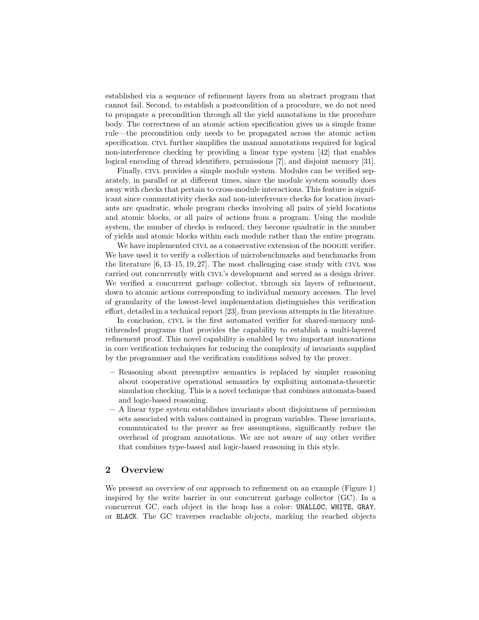established via a sequence of refinement layers from an abstract program that cannot fail. Second, to establish a postcondition of a procedure, we do not need to propagate a precondition through all the yield annotations in the procedure body. The correctness of an atomic action specification gives us a simple frame rule—the precondition only needs to be propagated across the atomic action specification. CIVL further simplifies the manual annotations required for logical non-interference checking by providing a linear type system [42] that enables logical encoding of thread identifiers, permissions [7], and disjoint memory [31].

Finally, CIVL provides a simple module system. Modules can be verified separately, in parallel or at different times, since the module system soundly does away with checks that pertain to cross-module interactions. This feature is significant since commutativity checks and non-interference checks for location invariants are quadratic, whole program checks involving all pairs of yield locations and atomic blocks, or all pairs of actions from a program. Using the module system, the number of checks is reduced; they become quadratic in the number of yields and atomic blocks within each module rather than the entire program.

We have implemented CIVL as a conservative extension of the BOOGIE verifier. We have used it to verify a collection of microbenchmarks and benchmarks from the literature  $[6, 13-15, 19, 27]$ . The most challenging case study with CIVL was carried out concurrently with CIVL's development and served as a design driver. We verified a concurrent garbage collector, through six layers of refinement, down to atomic actions corresponding to individual memory accesses. The level of granularity of the lowest-level implementation distinguishes this verification effort, detailed in a technical report [23], from previous attempts in the literature.

In conclusion, CIVL is the first automated verifier for shared-memory multithreaded programs that provides the capability to establish a multi-layered refinement proof. This novel capability is enabled by two important innovations in core verification techniques for reducing the complexity of invariants supplied by the programmer and the verification conditions solved by the prover.

- Reasoning about preemptive semantics is replaced by simpler reasoning about cooperative operational semantics by exploiting automata-theoretic simulation checking. This is a novel technique that combines automata-based and logic-based reasoning.
- A linear type system establishes invariants about disjointness of permission sets associated with values contained in program variables. These invariants, communicated to the prover as free assumptions, significantly reduce the overhead of program annotations. We are not aware of any other verifier that combines type-based and logic-based reasoning in this style.

### 2 Overview

We present an overview of our approach to refinement on an example (Figure 1) inspired by the write barrier in our concurrent garbage collector (GC). In a concurrent GC, each object in the heap has a color: UNALLOC, WHITE, GRAY, or BLACK. The GC traverses reachable objects, marking the reached objects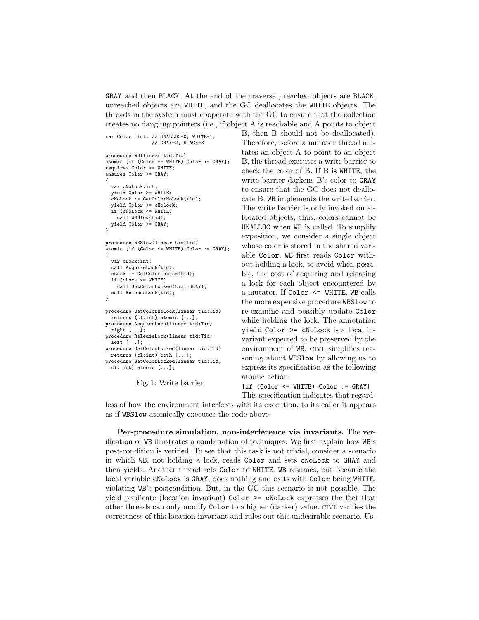GRAY and then BLACK. At the end of the traversal, reached objects are BLACK, unreached objects are WHITE, and the GC deallocates the WHITE objects. The threads in the system must cooperate with the GC to ensure that the collection creates no dangling pointers (i.e., if object A is reachable and A points to object

```
var Color: int; // UNALLOC=0, WHITE=1,
                // GRAY=2, BLACK=3
procedure WB(linear tid:Tid)
atomic [if (Color == WHITE) Color := GRAY];
requires Color >= WHITE;
ensures Color >= GRAY;
{
 var cNoLock:int;
 yield Color >= WHITE;
 cNoLock := GetColorNoLock(tid);
 yield Color >= cNoLock;
  if (cNoLock <= WHITE)
   call WBSlow(tid);
 yield Color >= GRAY;
}
procedure WBSlow(linear tid:Tid)
atomic [if (Color <= WHITE) Color := GRAY];
{
 var cLock:int;
 call AcquireLock(tid);
  cLock := GetColorLocked(tid);
 if (cLock <= WHITE)
   call SetColorLocked(tid, GRAY);
 call ReleaseLock(tid);
}
procedure GetColorNoLock(linear tid:Tid)
 returns (cl:int) atomic [...];
procedure AcquireLock(linear tid:Tid)
 right [...];
procedure ReleaseLock(linear tid:Tid)
 left [...];
procedure GetColorLocked(linear tid:Tid)
 returns (cl:int) both [...];
procedure SetColorLocked(linear tid:Tid,
 cl: int) atomic [...];
```
Fig. 1: Write barrier

B, then B should not be deallocated). Therefore, before a mutator thread mutates an object A to point to an object B, the thread executes a write barrier to check the color of B. If B is WHITE, the write barrier darkens B's color to GRAY to ensure that the GC does not deallocate B. WB implements the write barrier. The write barrier is only invoked on allocated objects, thus, colors cannot be UNALLOC when WB is called. To simplify exposition, we consider a single object whose color is stored in the shared variable Color. WB first reads Color without holding a lock, to avoid when possible, the cost of acquiring and releasing a lock for each object encountered by a mutator. If Color <= WHITE, WB calls the more expensive procedure WBSlow to re-examine and possibly update Color while holding the lock. The annotation yield Color >= cNoLock is a local invariant expected to be preserved by the environment of WB. CIVL simplifies reasoning about WBSlow by allowing us to express its specification as the following atomic action:

[if (Color <= WHITE) Color := GRAY]

This specification indicates that regardless of how the environment interferes with its execution, to its caller it appears as if WBSlow atomically executes the code above.

Per-procedure simulation, non-interference via invariants. The verification of WB illustrates a combination of techniques. We first explain how WB's post-condition is verified. To see that this task is not trivial, consider a scenario in which WB, not holding a lock, reads Color and sets cNoLock to GRAY and then yields. Another thread sets Color to WHITE. WB resumes, but because the local variable cNoLock is GRAY, does nothing and exits with Color being WHITE, violating WB's postcondition. But, in the GC this scenario is not possible. The yield predicate (location invariant) Color >= cNoLock expresses the fact that other threads can only modify Color to a higher (darker) value. CIVL verifies the correctness of this location invariant and rules out this undesirable scenario. Us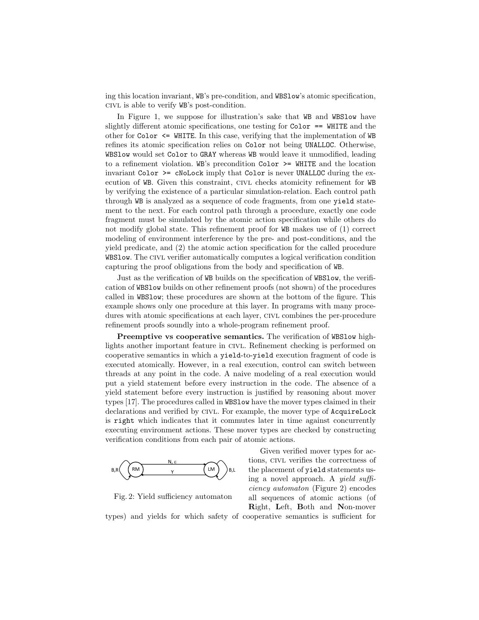ing this location invariant, WB's pre-condition, and WBSlow's atomic specification, civl is able to verify WB's post-condition.

In Figure 1, we suppose for illustration's sake that WB and WBSlow have slightly different atomic specifications, one testing for Color == WHITE and the other for Color <= WHITE. In this case, verifying that the implementation of WB refines its atomic specification relies on Color not being UNALLOC. Otherwise, WBSlow would set Color to GRAY whereas WB would leave it unmodified, leading to a refinement violation. WB's precondition  $Color \geq WHITE$  and the location invariant  $Color \ge = collock$  imply that  $Color$  is never UNALLOC during the execution of WB. Given this constraint, civl checks atomicity refinement for WB by verifying the existence of a particular simulation-relation. Each control path through WB is analyzed as a sequence of code fragments, from one yield statement to the next. For each control path through a procedure, exactly one code fragment must be simulated by the atomic action specification while others do not modify global state. This refinement proof for WB makes use of (1) correct modeling of environment interference by the pre- and post-conditions, and the yield predicate, and (2) the atomic action specification for the called procedure WBS1ow. The CIVL verifier automatically computes a logical verification condition capturing the proof obligations from the body and specification of WB.

Just as the verification of WB builds on the specification of WBSlow, the verification of WBSlow builds on other refinement proofs (not shown) of the procedures called in WBSlow; these procedures are shown at the bottom of the figure. This example shows only one procedure at this layer. In programs with many procedures with atomic specifications at each layer, CIVL combines the per-procedure refinement proofs soundly into a whole-program refinement proof.

Preemptive vs cooperative semantics. The verification of WBS1ow highlights another important feature in civl. Refinement checking is performed on cooperative semantics in which a yield-to-yield execution fragment of code is executed atomically. However, in a real execution, control can switch between threads at any point in the code. A naive modeling of a real execution would put a yield statement before every instruction in the code. The absence of a yield statement before every instruction is justified by reasoning about mover types [17]. The procedures called in WBSlow have the mover types claimed in their declarations and verified by CIVL. For example, the mover type of AcquireLock is right which indicates that it commutes later in time against concurrently executing environment actions. These mover types are checked by constructing verification conditions from each pair of atomic actions.



Fig. 2: Yield sufficiency automaton

Given verified mover types for actions, civl verifies the correctness of the placement of yield statements using a novel approach. A yield sufficiency automaton (Figure 2) encodes all sequences of atomic actions (of Right, Left, Both and Non-mover

types) and yields for which safety of cooperative semantics is sufficient for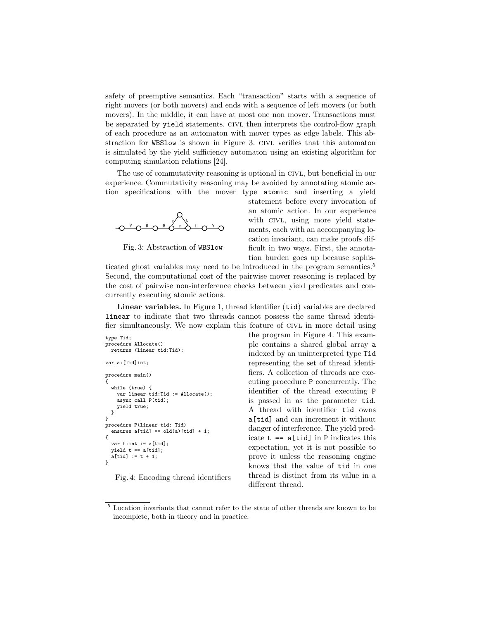safety of preemptive semantics. Each "transaction" starts with a sequence of right movers (or both movers) and ends with a sequence of left movers (or both movers). In the middle, it can have at most one non mover. Transactions must be separated by yield statements. CIVL then interprets the control-flow graph of each procedure as an automaton with mover types as edge labels. This abstraction for WBSlow is shown in Figure 3. CIVL verifies that this automaton is simulated by the yield sufficiency automaton using an existing algorithm for computing simulation relations [24].

The use of commutativity reasoning is optional in CIVL, but beneficial in our experience. Commutativity reasoning may be avoided by annotating atomic action specifications with the mover type atomic and inserting a yield



Fig. 3: Abstraction of WBSlow

statement before every invocation of an atomic action. In our experience with CIVL, using more yield statements, each with an accompanying location invariant, can make proofs difficult in two ways. First, the annotation burden goes up because sophis-

ticated ghost variables may need to be introduced in the program semantics.<sup>5</sup> Second, the computational cost of the pairwise mover reasoning is replaced by the cost of pairwise non-interference checks between yield predicates and concurrently executing atomic actions.

Linear variables. In Figure 1, thread identifier (tid) variables are declared linear to indicate that two threads cannot possess the same thread identifier simultaneously. We now explain this feature of CIVL in more detail using

```
type Tid;
procedure Allocate()
 returns (linear tid:Tid);
var a:[Tid]int;
procedure main()
{
 while (true) {
    var linear tid:Tid := Allocate();
    async call P(tid);
    yield true;
 }
}
procedure P(linear tid: Tid)
  ensures a[tid] == old(a)[tid] + 1;{
  var t:int := a[tid];
 yield t == a[tid];
  a[tid] := t + 1;}
```
Fig. 4: Encoding thread identifiers

the program in Figure 4. This example contains a shared global array a indexed by an uninterpreted type Tid representing the set of thread identifiers. A collection of threads are executing procedure P concurrently. The identifier of the thread executing P is passed in as the parameter tid. A thread with identifier tid owns a[tid] and can increment it without danger of interference. The yield predicate  $t = a[tid]$  in P indicates this expectation, yet it is not possible to prove it unless the reasoning engine knows that the value of tid in one thread is distinct from its value in a different thread.

 $^5$  Location invariants that cannot refer to the state of other threads are known to be incomplete, both in theory and in practice.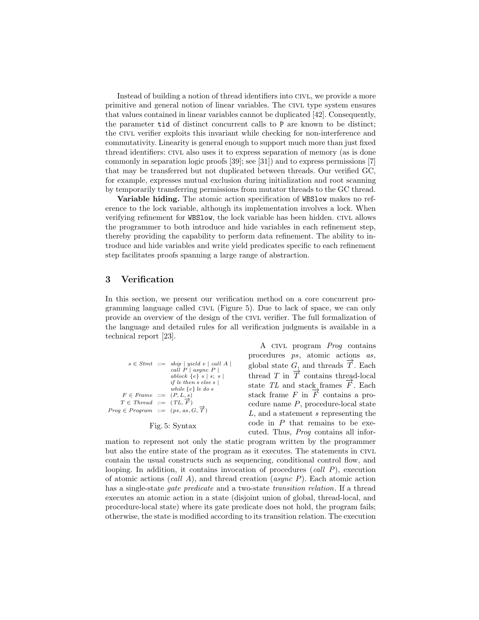Instead of building a notion of thread identifiers into civl, we provide a more primitive and general notion of linear variables. The civl type system ensures that values contained in linear variables cannot be duplicated [42]. Consequently, the parameter tid of distinct concurrent calls to P are known to be distinct; the CIVL verifier exploits this invariant while checking for non-interference and commutativity. Linearity is general enough to support much more than just fixed thread identifiers: civl also uses it to express separation of memory (as is done commonly in separation logic proofs [39]; see [31]) and to express permissions [7] that may be transferred but not duplicated between threads. Our verified GC, for example, expresses mutual exclusion during initialization and root scanning by temporarily transferring permissions from mutator threads to the GC thread.

Variable hiding. The atomic action specification of WBSlow makes no reference to the lock variable, although its implementation involves a lock. When verifying refinement for WBSlow, the lock variable has been hidden. civl allows the programmer to both introduce and hide variables in each refinement step, thereby providing the capability to perform data refinement. The ability to introduce and hide variables and write yield predicates specific to each refinement step facilitates proofs spanning a large range of abstraction.

# 3 Verification

In this section, we present our verification method on a core concurrent programming language called civl (Figure 5). Due to lack of space, we can only provide an overview of the design of the CIVL verifier. The full formalization of the language and detailed rules for all verification judgments is available in a technical report [23].

 $s \in Stmt$  ::=  $skip \mid$   $skip \mid$   $yield \mid$   $|$   $|$   $call \mid$   $A \mid$ <br> $call \mid P \mid$   $async \mid P \mid$ ablock  $\{e\}$  s | s; s | if le then  $s$  else  $s$  | while  ${e}$  le do s  $F \in Frame := (P, L, s)$  $T \in Thread \ ::= (TL, \overrightarrow{F})$  $Prog \in Program ::=(ps, as, G, \overrightarrow{T})$ 

Fig. 5: Syntax

A civl program Prog contains procedures ps, atomic actions as, global state G, and threads  $\overrightarrow{T}$ . Each thread  $T$  in  $\overrightarrow{T}$  contains thread-local state  $TL$  and stack frames  $\overrightarrow{F}$ . Each stack frame  $F$  in  $\overline{F}$  contains a procedure name P, procedure-local state  $L$ , and a statement s representing the  $code in P that remains to be except.$ cuted. Thus, Prog contains all infor-

mation to represent not only the static program written by the programmer but also the entire state of the program as it executes. The statements in CIVL contain the usual constructs such as sequencing, conditional control flow, and looping. In addition, it contains invocation of procedures  $\text{(call } P)$ , execution of atomic actions (call A), and thread creation (async P). Each atomic action has a single-state *gate predicate* and a two-state *transition relation*. If a thread executes an atomic action in a state (disjoint union of global, thread-local, and procedure-local state) where its gate predicate does not hold, the program fails; otherwise, the state is modified according to its transition relation. The execution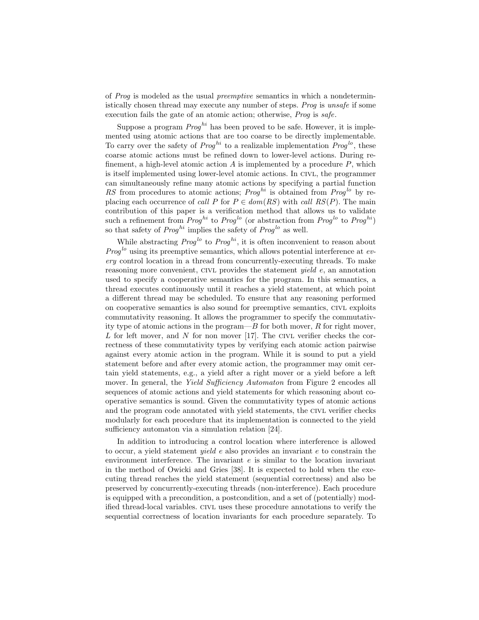of Prog is modeled as the usual preemptive semantics in which a nondeterministically chosen thread may execute any number of steps. Prog is unsafe if some execution fails the gate of an atomic action; otherwise, Prog is safe.

Suppose a program  $Proof<sup>hi</sup>$  has been proved to be safe. However, it is implemented using atomic actions that are too coarse to be directly implementable. To carry over the safety of  $Proof<sup>hi</sup>$  to a realizable implementation  $Proof<sup>lo</sup>$ , these coarse atomic actions must be refined down to lower-level actions. During refinement, a high-level atomic action  $A$  is implemented by a procedure  $P$ , which is itself implemented using lower-level atomic actions. In civl, the programmer can simultaneously refine many atomic actions by specifying a partial function RS from procedures to atomic actions;  $Prog^{hi}$  is obtained from  $Prog^{lo}$  by replacing each occurrence of call P for  $P \in dom(RS)$  with call  $RS(P)$ . The main contribution of this paper is a verification method that allows us to validate such a refinement from  $Prog^{hi}$  to  $Prog^{lo}$  (or abstraction from  $Prog^{lo}$  to  $Prog^{hi}$ ) so that safety of  $Prog^{hi}$  implies the safety of  $Prog^{lo}$  as well.

While abstracting  $Prog^{lo}$  to  $Prog^{hi}$ , it is often inconvenient to reason about *Prog*<sup>lo</sup> using its preemptive semantics, which allows potential interference at every control location in a thread from concurrently-executing threads. To make reasoning more convenient, CIVL provides the statement *yield*  $e$ , an annotation used to specify a cooperative semantics for the program. In this semantics, a thread executes continuously until it reaches a yield statement, at which point a different thread may be scheduled. To ensure that any reasoning performed on cooperative semantics is also sound for preemptive semantics, civl exploits commutativity reasoning. It allows the programmer to specify the commutativity type of atomic actions in the program— $B$  for both mover,  $R$  for right mover,  $L$  for left mover, and  $N$  for non mover [17]. The CIVL verifier checks the correctness of these commutativity types by verifying each atomic action pairwise against every atomic action in the program. While it is sound to put a yield statement before and after every atomic action, the programmer may omit certain yield statements, e.g., a yield after a right mover or a yield before a left mover. In general, the Yield Sufficiency Automaton from Figure 2 encodes all sequences of atomic actions and yield statements for which reasoning about cooperative semantics is sound. Given the commutativity types of atomic actions and the program code annotated with yield statements, the CIVL verifier checks modularly for each procedure that its implementation is connected to the yield sufficiency automaton via a simulation relation [24].

In addition to introducing a control location where interference is allowed to occur, a yield statement *yield*  $e$  also provides an invariant  $e$  to constrain the environment interference. The invariant  $e$  is similar to the location invariant in the method of Owicki and Gries [38]. It is expected to hold when the executing thread reaches the yield statement (sequential correctness) and also be preserved by concurrently-executing threads (non-interference). Each procedure is equipped with a precondition, a postcondition, and a set of (potentially) modified thread-local variables. CIVL uses these procedure annotations to verify the sequential correctness of location invariants for each procedure separately. To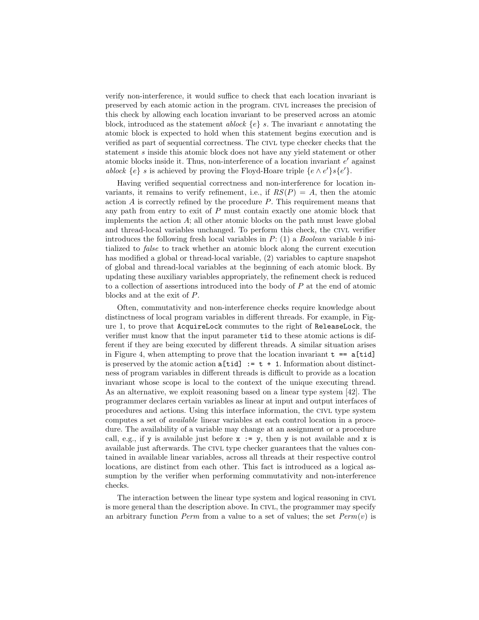verify non-interference, it would suffice to check that each location invariant is preserved by each atomic action in the program. civl increases the precision of this check by allowing each location invariant to be preserved across an atomic block, introduced as the statement ablock  $\{e\}$  s. The invariant e annotating the atomic block is expected to hold when this statement begins execution and is verified as part of sequential correctness. The CIVL type checker checks that the statement s inside this atomic block does not have any yield statement or other atomic blocks inside it. Thus, non-interference of a location invariant  $e'$  against ablock  $\{e\}$  s is achieved by proving the Floyd-Hoare triple  $\{e \wedge e'\} s\{e'\}.$ 

Having verified sequential correctness and non-interference for location invariants, it remains to verify refinement, i.e., if  $RS(P) = A$ , then the atomic action  $A$  is correctly refined by the procedure  $P$ . This requirement means that any path from entry to exit of  $P$  must contain exactly one atomic block that implements the action  $A$ ; all other atomic blocks on the path must leave global and thread-local variables unchanged. To perform this check, the CIVL verifier introduces the following fresh local variables in  $P: (1)$  a *Boolean* variable b initialized to false to track whether an atomic block along the current execution has modified a global or thread-local variable, (2) variables to capture snapshot of global and thread-local variables at the beginning of each atomic block. By updating these auxiliary variables appropriately, the refinement check is reduced to a collection of assertions introduced into the body of P at the end of atomic blocks and at the exit of P.

Often, commutativity and non-interference checks require knowledge about distinctness of local program variables in different threads. For example, in Figure 1, to prove that AcquireLock commutes to the right of ReleaseLock, the verifier must know that the input parameter tid to these atomic actions is different if they are being executed by different threads. A similar situation arises in Figure 4, when attempting to prove that the location invariant  $t = \texttt{a[tid]}$ is preserved by the atomic action  $a$ [tid] := t + 1. Information about distinctness of program variables in different threads is difficult to provide as a location invariant whose scope is local to the context of the unique executing thread. As an alternative, we exploit reasoning based on a linear type system [42]. The programmer declares certain variables as linear at input and output interfaces of procedures and actions. Using this interface information, the civl type system computes a set of available linear variables at each control location in a procedure. The availability of a variable may change at an assignment or a procedure call, e.g., if y is available just before  $x := y$ , then y is not available and x is available just afterwards. The civl type checker guarantees that the values contained in available linear variables, across all threads at their respective control locations, are distinct from each other. This fact is introduced as a logical assumption by the verifier when performing commutativity and non-interference checks.

The interaction between the linear type system and logical reasoning in civl is more general than the description above. In CIVL, the programmer may specify an arbitrary function *Perm* from a value to a set of values; the set  $Perm(v)$  is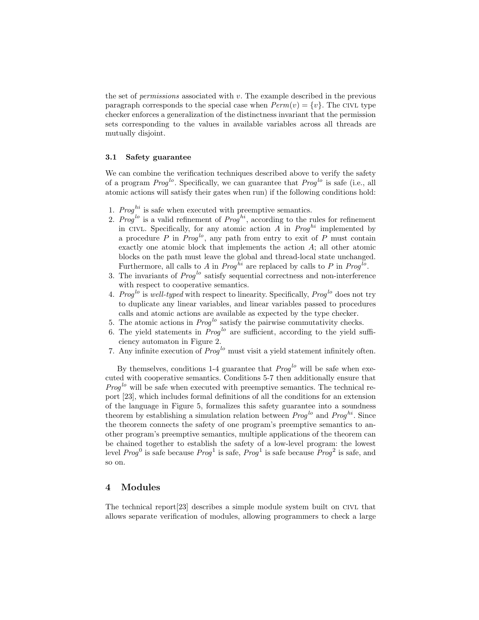the set of *permissions* associated with  $v$ . The example described in the previous paragraph corresponds to the special case when  $Perm(v) = \{v\}$ . The CIVL type checker enforces a generalization of the distinctness invariant that the permission sets corresponding to the values in available variables across all threads are mutually disjoint.

#### 3.1 Safety guarantee

We can combine the verification techniques described above to verify the safety of a program  $Prog^{lo}$ . Specifically, we can guarantee that  $Prog^{lo}$  is safe (i.e., all atomic actions will satisfy their gates when run) if the following conditions hold:

- 1.  $Proof<sup>hi</sup>$  is safe when executed with preemptive semantics.
- 2.  $Prog^{lo}$  is a valid refinement of  $Prog^{hi}$ , according to the rules for refinement in CIVL. Specifically, for any atomic action  $\widetilde{A}$  in Prog<sup>hi</sup> implemented by a procedure  $P$  in  $Prog^{lo}$ , any path from entry to exit of  $P$  must contain exactly one atomic block that implements the action  $A$ ; all other atomic blocks on the path must leave the global and thread-local state unchanged. Furthermore, all calls to A in  $Prog^{\overline{h}i}$  are replaced by calls to P in  $Prog^{\overline{b}o}$ .
- 3. The invariants of  $Prog^{lo}$  satisfy sequential correctness and non-interference with respect to cooperative semantics.
- 4. Prog<sup>lo</sup> is well-typed with respect to linearity. Specifically, Prog<sup>lo</sup> does not try to duplicate any linear variables, and linear variables passed to procedures calls and atomic actions are available as expected by the type checker.
- 5. The atomic actions in  $Prog^{lo}$  satisfy the pairwise commutativity checks.
- 6. The yield statements in  $Prog^{lo}$  are sufficient, according to the yield sufficiency automaton in Figure 2.
- 7. Any infinite execution of  $Proof<sup>lo</sup>$  must visit a yield statement infinitely often.

By themselves, conditions 1-4 guarantee that  $Prog^{lo}$  will be safe when executed with cooperative semantics. Conditions 5-7 then additionally ensure that  $Prog^{lo}$  will be safe when executed with preemptive semantics. The technical report [23], which includes formal definitions of all the conditions for an extension of the language in Figure 5, formalizes this safety guarantee into a soundness theorem by establishing a simulation relation between  $Proof<sup>lo</sup>$  and  $Proof<sup>hi</sup>$ . Since the theorem connects the safety of one program's preemptive semantics to another program's preemptive semantics, multiple applications of the theorem can be chained together to establish the safety of a low-level program: the lowest level  $Prog^0$  is safe because  $Prog^1$  is safe,  $Prog^1$  is safe because  $Prog^2$  is safe, and so on.

## 4 Modules

The technical report [23] describes a simple module system built on CIVL that allows separate verification of modules, allowing programmers to check a large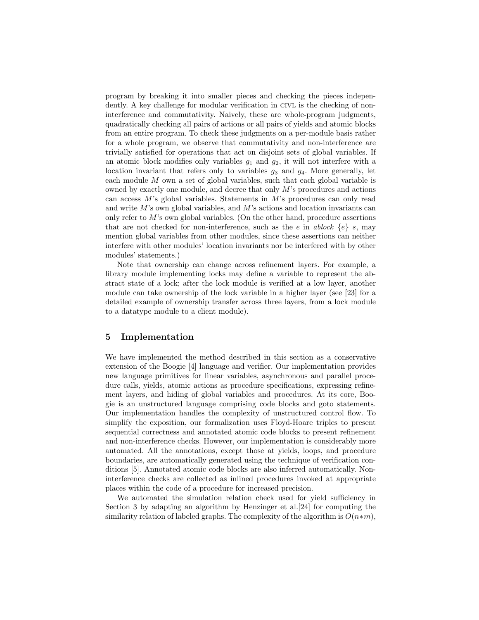program by breaking it into smaller pieces and checking the pieces independently. A key challenge for modular verification in CIVL is the checking of noninterference and commutativity. Naively, these are whole-program judgments, quadratically checking all pairs of actions or all pairs of yields and atomic blocks from an entire program. To check these judgments on a per-module basis rather for a whole program, we observe that commutativity and non-interference are trivially satisfied for operations that act on disjoint sets of global variables. If an atomic block modifies only variables  $g_1$  and  $g_2$ , it will not interfere with a location invariant that refers only to variables  $g_3$  and  $g_4$ . More generally, let each module M own a set of global variables, such that each global variable is owned by exactly one module, and decree that only M's procedures and actions can access M's global variables. Statements in M's procedures can only read and write  $M$ 's own global variables, and  $M$ 's actions and location invariants can only refer to  $M$ 's own global variables. (On the other hand, procedure assertions that are not checked for non-interference, such as the e in ablock  $\{e\}$  s, may mention global variables from other modules, since these assertions can neither interfere with other modules' location invariants nor be interfered with by other modules' statements.)

Note that ownership can change across refinement layers. For example, a library module implementing locks may define a variable to represent the abstract state of a lock; after the lock module is verified at a low layer, another module can take ownership of the lock variable in a higher layer (see [23] for a detailed example of ownership transfer across three layers, from a lock module to a datatype module to a client module).

#### 5 Implementation

We have implemented the method described in this section as a conservative extension of the Boogie [4] language and verifier. Our implementation provides new language primitives for linear variables, asynchronous and parallel procedure calls, yields, atomic actions as procedure specifications, expressing refinement layers, and hiding of global variables and procedures. At its core, Boogie is an unstructured language comprising code blocks and goto statements. Our implementation handles the complexity of unstructured control flow. To simplify the exposition, our formalization uses Floyd-Hoare triples to present sequential correctness and annotated atomic code blocks to present refinement and non-interference checks. However, our implementation is considerably more automated. All the annotations, except those at yields, loops, and procedure boundaries, are automatically generated using the technique of verification conditions [5]. Annotated atomic code blocks are also inferred automatically. Noninterference checks are collected as inlined procedures invoked at appropriate places within the code of a procedure for increased precision.

We automated the simulation relation check used for yield sufficiency in Section 3 by adapting an algorithm by Henzinger et al.[24] for computing the similarity relation of labeled graphs. The complexity of the algorithm is  $O(n*m)$ ,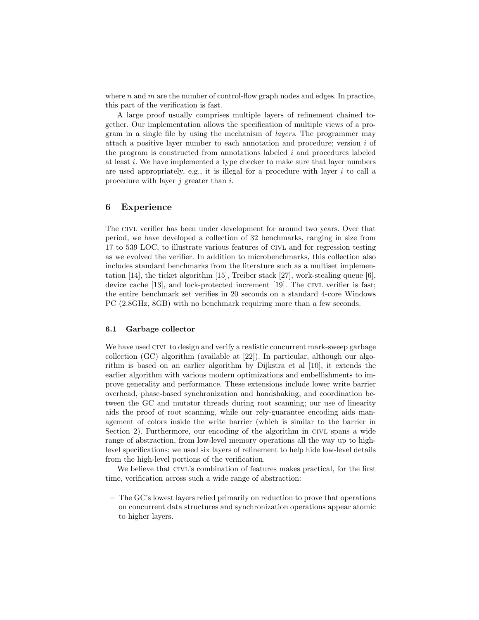where  $n$  and  $m$  are the number of control-flow graph nodes and edges. In practice, this part of the verification is fast.

A large proof usually comprises multiple layers of refinement chained together. Our implementation allows the specification of multiple views of a program in a single file by using the mechanism of layers. The programmer may attach a positive layer number to each annotation and procedure; version i of the program is constructed from annotations labeled  $i$  and procedures labeled at least i. We have implemented a type checker to make sure that layer numbers are used appropriately, e.g., it is illegal for a procedure with layer  $i$  to call a procedure with layer  $j$  greater than  $i$ .

### 6 Experience

The CIVL verifier has been under development for around two years. Over that period, we have developed a collection of 32 benchmarks, ranging in size from 17 to 539 LOC, to illustrate various features of civl and for regression testing as we evolved the verifier. In addition to microbenchmarks, this collection also includes standard benchmarks from the literature such as a multiset implementation [14], the ticket algorithm [15], Treiber stack [27], work-stealing queue [6], device cache  $[13]$ , and lock-protected increment  $[19]$ . The CIVL verifier is fast; the entire benchmark set verifies in 20 seconds on a standard 4-core Windows PC (2.8GHz, 8GB) with no benchmark requiring more than a few seconds.

#### 6.1 Garbage collector

We have used CIVL to design and verify a realistic concurrent mark-sweep garbage collection (GC) algorithm (available at [22]). In particular, although our algorithm is based on an earlier algorithm by Dijkstra et al [10], it extends the earlier algorithm with various modern optimizations and embellishments to improve generality and performance. These extensions include lower write barrier overhead, phase-based synchronization and handshaking, and coordination between the GC and mutator threads during root scanning; our use of linearity aids the proof of root scanning, while our rely-guarantee encoding aids management of colors inside the write barrier (which is similar to the barrier in Section 2). Furthermore, our encoding of the algorithm in CIVL spans a wide range of abstraction, from low-level memory operations all the way up to highlevel specifications; we used six layers of refinement to help hide low-level details from the high-level portions of the verification.

We believe that CIVL's combination of features makes practical, for the first time, verification across such a wide range of abstraction:

– The GC's lowest layers relied primarily on reduction to prove that operations on concurrent data structures and synchronization operations appear atomic to higher layers.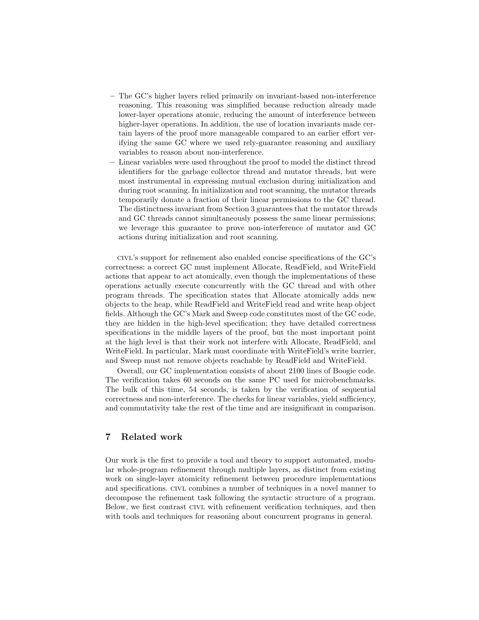- The GC's higher layers relied primarily on invariant-based non-interference reasoning. This reasoning was simplified because reduction already made lower-layer operations atomic, reducing the amount of interference between higher-layer operations. In addition, the use of location invariants made certain layers of the proof more manageable compared to an earlier effort verifying the same GC where we used rely-guarantee reasoning and auxiliary variables to reason about non-interference.
- Linear variables were used throughout the proof to model the distinct thread identifiers for the garbage collector thread and mutator threads, but were most instrumental in expressing mutual exclusion during initialization and during root scanning. In initialization and root scanning, the mutator threads temporarily donate a fraction of their linear permissions to the GC thread. The distinctness invariant from Section 3 guarantees that the mutator threads and GC threads cannot simultaneously possess the same linear permissions; we leverage this guarantee to prove non-interference of mutator and GC actions during initialization and root scanning.

civl's support for refinement also enabled concise specifications of the GC's correctness: a correct GC must implement Allocate, ReadField, and WriteField actions that appear to act atomically, even though the implementations of these operations actually execute concurrently with the GC thread and with other program threads. The specification states that Allocate atomically adds new objects to the heap, while ReadField and WriteField read and write heap object fields. Although the GC's Mark and Sweep code constitutes most of the GC code, they are hidden in the high-level specification; they have detailed correctness specifications in the middle layers of the proof, but the most important point at the high level is that their work not interfere with Allocate, ReadField, and WriteField. In particular, Mark must coordinate with WriteField's write barrier, and Sweep must not remove objects reachable by ReadField and WriteField.

Overall, our GC implementation consists of about 2100 lines of Boogie code. The verification takes 60 seconds on the same PC used for microbenchmarks. The bulk of this time, 54 seconds, is taken by the verification of sequential correctness and non-interference. The checks for linear variables, yield sufficiency, and commutativity take the rest of the time and are insignificant in comparison.

# 7 Related work

Our work is the first to provide a tool and theory to support automated, modular whole-program refinement through multiple layers, as distinct from existing work on single-layer atomicity refinement between procedure implementations and specifications. civl combines a number of techniques in a novel manner to decompose the refinement task following the syntactic structure of a program. Below, we first contrast CIVL with refinement verification techniques, and then with tools and techniques for reasoning about concurrent programs in general.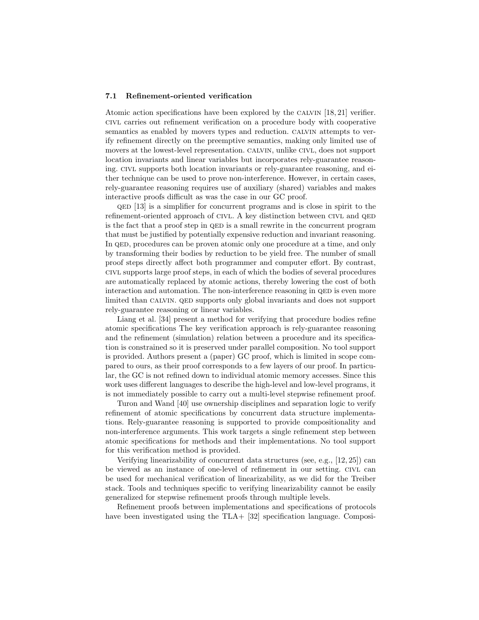#### 7.1 Refinement-oriented verification

Atomic action specifications have been explored by the calvin [18, 21] verifier. civl carries out refinement verification on a procedure body with cooperative semantics as enabled by movers types and reduction. calvin attempts to verify refinement directly on the preemptive semantics, making only limited use of movers at the lowest-level representation. CALVIN, unlike CIVL, does not support location invariants and linear variables but incorporates rely-guarantee reasoning. civl supports both location invariants or rely-guarantee reasoning, and either technique can be used to prove non-interference. However, in certain cases, rely-guarantee reasoning requires use of auxiliary (shared) variables and makes interactive proofs difficult as was the case in our GC proof.

qed [13] is a simplifier for concurrent programs and is close in spirit to the refinement-oriented approach of CIVL. A key distinction between CIVL and QED is the fact that a proof step in QED is a small rewrite in the concurrent program that must be justified by potentially expensive reduction and invariant reasoning. In QED, procedures can be proven atomic only one procedure at a time, and only by transforming their bodies by reduction to be yield free. The number of small proof steps directly affect both programmer and computer effort. By contrast, civl supports large proof steps, in each of which the bodies of several procedures are automatically replaced by atomic actions, thereby lowering the cost of both interaction and automation. The non-interference reasoning in QED is even more limited than CALVIN. QED supports only global invariants and does not support rely-guarantee reasoning or linear variables.

Liang et al. [34] present a method for verifying that procedure bodies refine atomic specifications The key verification approach is rely-guarantee reasoning and the refinement (simulation) relation between a procedure and its specification is constrained so it is preserved under parallel composition. No tool support is provided. Authors present a (paper) GC proof, which is limited in scope compared to ours, as their proof corresponds to a few layers of our proof. In particular, the GC is not refined down to individual atomic memory accesses. Since this work uses different languages to describe the high-level and low-level programs, it is not immediately possible to carry out a multi-level stepwise refinement proof.

Turon and Wand [40] use ownership disciplines and separation logic to verify refinement of atomic specifications by concurrent data structure implementations. Rely-guarantee reasoning is supported to provide compositionality and non-interference arguments. This work targets a single refinement step between atomic specifications for methods and their implementations. No tool support for this verification method is provided.

Verifying linearizability of concurrent data structures (see, e.g., [12, 25]) can be viewed as an instance of one-level of refinement in our setting. CIVL can be used for mechanical verification of linearizability, as we did for the Treiber stack. Tools and techniques specific to verifying linearizability cannot be easily generalized for stepwise refinement proofs through multiple levels.

Refinement proofs between implementations and specifications of protocols have been investigated using the TLA+ [32] specification language. Composi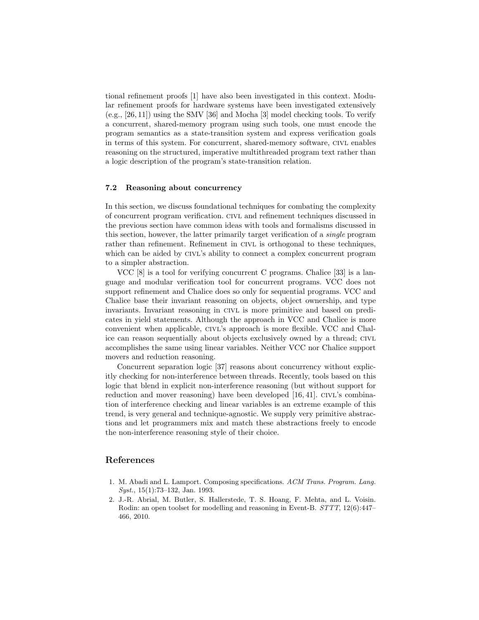tional refinement proofs [1] have also been investigated in this context. Modular refinement proofs for hardware systems have been investigated extensively  $(e.g., [26, 11])$  using the SMV [36] and Mocha [3] model checking tools. To verify a concurrent, shared-memory program using such tools, one must encode the program semantics as a state-transition system and express verification goals in terms of this system. For concurrent, shared-memory software, CIVL enables reasoning on the structured, imperative multithreaded program text rather than a logic description of the program's state-transition relation.

#### 7.2 Reasoning about concurrency

In this section, we discuss foundational techniques for combating the complexity of concurrent program verification. civl and refinement techniques discussed in the previous section have common ideas with tools and formalisms discussed in this section, however, the latter primarily target verification of a single program rather than refinement. Refinement in CIVL is orthogonal to these techniques, which can be aided by CIVL's ability to connect a complex concurrent program to a simpler abstraction.

VCC [8] is a tool for verifying concurrent C programs. Chalice [33] is a language and modular verification tool for concurrent programs. VCC does not support refinement and Chalice does so only for sequential programs. VCC and Chalice base their invariant reasoning on objects, object ownership, and type invariants. Invariant reasoning in CIVL is more primitive and based on predicates in yield statements. Although the approach in VCC and Chalice is more convenient when applicable, civl's approach is more flexible. VCC and Chalice can reason sequentially about objects exclusively owned by a thread; civl accomplishes the same using linear variables. Neither VCC nor Chalice support movers and reduction reasoning.

Concurrent separation logic [37] reasons about concurrency without explicitly checking for non-interference between threads. Recently, tools based on this logic that blend in explicit non-interference reasoning (but without support for reduction and mover reasoning) have been developed  $[16, 41]$ . CIVL's combination of interference checking and linear variables is an extreme example of this trend, is very general and technique-agnostic. We supply very primitive abstractions and let programmers mix and match these abstractions freely to encode the non-interference reasoning style of their choice.

## References

- 1. M. Abadi and L. Lamport. Composing specifications. ACM Trans. Program. Lang. Syst., 15(1):73–132, Jan. 1993.
- 2. J.-R. Abrial, M. Butler, S. Hallerstede, T. S. Hoang, F. Mehta, and L. Voisin. Rodin: an open toolset for modelling and reasoning in Event-B. STTT, 12(6):447– 466, 2010.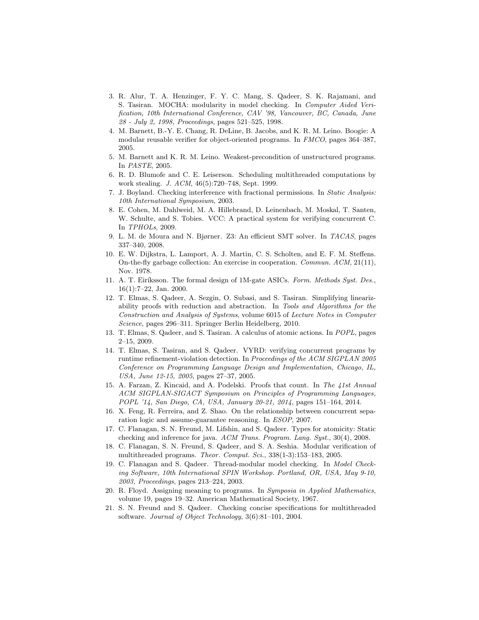- 3. R. Alur, T. A. Henzinger, F. Y. C. Mang, S. Qadeer, S. K. Rajamani, and S. Tasiran. MOCHA: modularity in model checking. In Computer Aided Verification, 10th International Conference, CAV '98, Vancouver, BC, Canada, June 28 - July 2, 1998, Proceedings, pages 521–525, 1998.
- 4. M. Barnett, B.-Y. E. Chang, R. DeLine, B. Jacobs, and K. R. M. Leino. Boogie: A modular reusable verifier for object-oriented programs. In FMCO, pages 364–387, 2005.
- 5. M. Barnett and K. R. M. Leino. Weakest-precondition of unstructured programs. In PASTE, 2005.
- 6. R. D. Blumofe and C. E. Leiserson. Scheduling multithreaded computations by work stealing. J. ACM, 46(5):720–748, Sept. 1999.
- 7. J. Boyland. Checking interference with fractional permissions. In Static Analysis: 10th International Symposium, 2003.
- 8. E. Cohen, M. Dahlweid, M. A. Hillebrand, D. Leinenbach, M. Moskal, T. Santen, W. Schulte, and S. Tobies. VCC: A practical system for verifying concurrent C. In TPHOLs, 2009.
- 9. L. M. de Moura and N. Bjørner. Z3: An efficient SMT solver. In TACAS, pages 337–340, 2008.
- 10. E. W. Dijkstra, L. Lamport, A. J. Martin, C. S. Scholten, and E. F. M. Steffens. On-the-fly garbage collection: An exercise in cooperation. Commun. ACM, 21(11), Nov. 1978.
- 11. A. T. Eiríksson. The formal design of 1M-gate ASICs. Form. Methods Syst. Des., 16(1):7–22, Jan. 2000.
- 12. T. Elmas, S. Qadeer, A. Sezgin, O. Subasi, and S. Tasiran. Simplifying linearizability proofs with reduction and abstraction. In Tools and Algorithms for the Construction and Analysis of Systems, volume 6015 of Lecture Notes in Computer Science, pages 296–311. Springer Berlin Heidelberg, 2010.
- 13. T. Elmas, S. Qadeer, and S. Tasiran. A calculus of atomic actions. In POPL, pages 2–15, 2009.
- 14. T. Elmas, S. Tasiran, and S. Qadeer. VYRD: verifying concurrent programs by runtime refinement-violation detection. In Proceedings of the ACM SIGPLAN 2005 Conference on Programming Language Design and Implementation, Chicago, IL, USA, June 12-15, 2005, pages 27–37, 2005.
- 15. A. Farzan, Z. Kincaid, and A. Podelski. Proofs that count. In The 41st Annual ACM SIGPLAN-SIGACT Symposium on Principles of Programming Languages, POPL '14, San Diego, CA, USA, January 20-21, 2014, pages 151–164, 2014.
- 16. X. Feng, R. Ferreira, and Z. Shao. On the relationship between concurrent separation logic and assume-guarantee reasoning. In ESOP, 2007.
- 17. C. Flanagan, S. N. Freund, M. Lifshin, and S. Qadeer. Types for atomicity: Static checking and inference for java. ACM Trans. Program. Lang. Syst., 30(4), 2008.
- 18. C. Flanagan, S. N. Freund, S. Qadeer, and S. A. Seshia. Modular verification of multithreaded programs. Theor. Comput. Sci., 338(1-3):153–183, 2005.
- 19. C. Flanagan and S. Qadeer. Thread-modular model checking. In Model Checking Software, 10th International SPIN Workshop. Portland, OR, USA, May 9-10, 2003, Proceedings, pages 213–224, 2003.
- 20. R. Floyd. Assigning meaning to programs. In Symposia in Applied Mathematics, volume 19, pages 19–32. American Mathematical Society, 1967.
- 21. S. N. Freund and S. Qadeer. Checking concise specifications for multithreaded software. Journal of Object Technology, 3(6):81–101, 2004.